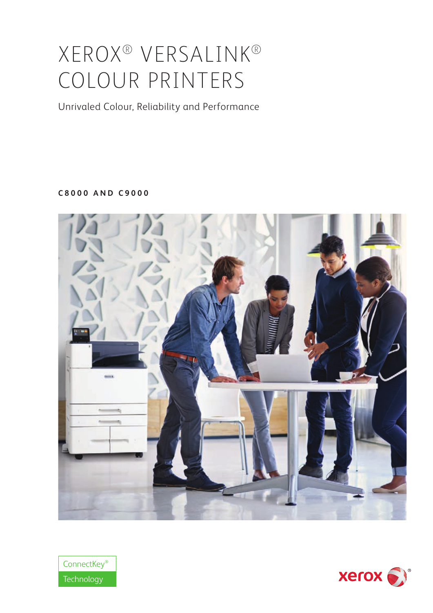# XEROX® VERSALINK® COLOUR PRINTERS

Unrivaled Colour, Reliability and Performance

**C8000 AND C9000**





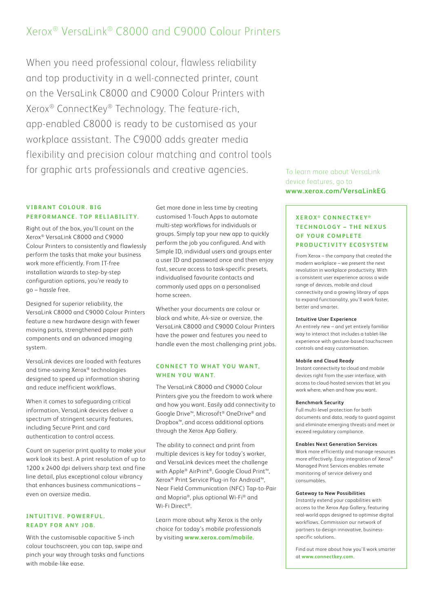# Xerox® VersaLink® C8000 and C9000 Colour Printers

When you need professional colour, flawless reliability and top productivity in a well-connected printer, count on the VersaLink C8000 and C9000 Colour Printers with Xerox® ConnectKey® Technology. The feature-rich, app-enabled C8000 is ready to be customised as your workplace assistant. The C9000 adds greater media flexibility and precision colour matching and control tools for graphic arts professionals and creative agencies. To learn more about VersaLink

# **VIBRANT COLOUR. BIG** PERFORMANCE. TOP RELIABILITY.

Right out of the box, you'll count on the Xerox® VersaLink C8000 and C9000 Colour Printers to consistently and flawlessly perform the tasks that make your business work more efficiently. From IT-free installation wizards to step-by-step configuration options, you're ready to go – hassle free.

Designed for superior reliability, the VersaLink C8000 and C9000 Colour Printers feature a new hardware design with fewer moving parts, strengthened paper path components and an advanced imaging system.

VersaLink devices are loaded with features and time-saving Xerox® technologies designed to speed up information sharing and reduce inefficient workflows.

When it comes to safeguarding critical information, VersaLink devices deliver a spectrum of stringent security features, including Secure Print and card authentication to control access.

Count on superior print quality to make your work look its best. A print resolution of up to 1200 x 2400 dpi delivers sharp text and fine line detail, plus exceptional colour vibrancy that enhances business communications – even on oversize media.

# **INTUITIVE. POWERFUL. READY FOR ANY JOB.**

With the customisable capacitive 5-inch colour touchscreen, you can tap, swipe and pinch your way through tasks and functions with mobile-like ease.

Get more done in less time by creating customised 1-Touch Apps to automate multi-step workflows for individuals or groups. Simply tap your new app to quickly perform the job you configured. And with Simple ID, individual users and groups enter a user ID and password once and then enjoy fast, secure access to task-specific presets, individualised favourite contacts and commonly used apps on a personalised home screen.

Whether your documents are colour or black and white, A4-size or oversize, the VersaLink C8000 and C9000 Colour Printers have the power and features you need to handle even the most challenging print jobs.

# **CONNECT TO WHAT YOU WANT. WHEN YOU WANT.**

The VersaLink C8000 and C9000 Colour Printers give you the freedom to work where and how you want. Easily add connectivity to Google Drive™, Microsoft® OneDrive® and Dropbox™, and access additional options through the Xerox App Gallery.

The ability to connect and print from multiple devices is key for today's worker, and VersaLink devices meet the challenge with Apple® AirPrint®, Google Cloud Print™, Xerox® Print Service Plug-in for Android™, Near Field Communication (NFC) Tap-to-Pair and Mopria®, plus optional Wi-Fi® and Wi-Fi Direct®.

Learn more about why Xerox is the only choice for today's mobile professionals by visiting **www.xerox.com/mobile**.

# device features, go to **www.xerox.com/VersaLinkEG**.

# **XEROX ® CONNECTKEY ® T E C H N O L O G Y – T H E N E X U S OF YOUR COMPLETE PRODUCTIVITY ECOSYSTEM**

From Xerox – the company that created the modern workplace – we present the next revolution in workplace productivity. With a consistent user experience across a wide range of devices, mobile and cloud connectivity and a growing library of apps to expand functionality, you'll work faster, better and smarter.

#### **Intuitive User Experience**

An entirely new – and yet entirely familiar way to interact that includes a tablet-like experience with gesture-based touchscreen controls and easy customisation.

#### **Mobile and Cloud Ready**

Instant connectivity to cloud and mobile devices right from the user interface, with access to cloud-hosted services that let you work where, when and how you want.

#### **Benchmark Security**

Full multi-level protection for both documents and data, ready to guard against and eliminate emerging threats and meet or exceed regulatory compliance.

#### **Enables Next Generation Services**

Work more efficiently and manage resources more effectively. Easy integration of Xerox® Managed Print Services enables remote monitoring of service delivery and consumables.

#### **Gateway to New Possibilities**

Instantly extend your capabilities with access to the Xerox App Gallery, featuring real-world apps designed to optimise digital workflows. Commission our network of partners to design innovative, businessspecific solutions.

Find out more about how you'll work smarter at **www.connectkey.com**.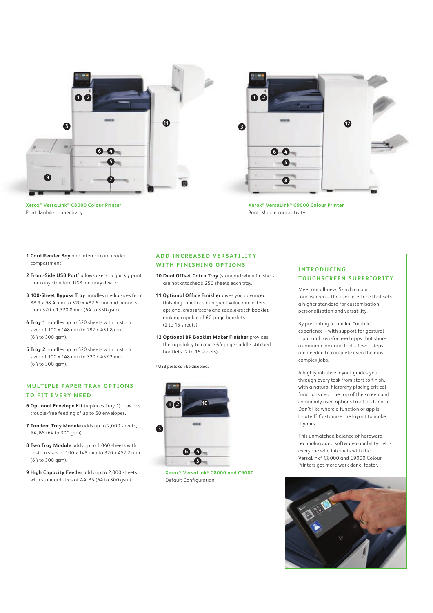





**Xerox® VersaLink® C9000 Colour Printer**  Print. Mobile connectivity.

- **1 Card Reader Bay** and internal card reader compartment.
- 2 Front-Side USB Port<sup>1</sup> allows users to quickly print from any standard USB memory device.
- **3 100-Sheet Bypass Tray** handles media sizes from 88.9 x 98.4 mm to 320 x 482.6 mm and banners from 320 x 1,320.8 mm (64 to 350 gsm).
- **4 Tray 1** handles up to 520 sheets with custom sizes of 100 x 148 mm to 297 x 431.8 mm (64 to 300 gsm).
- **5 Tray 2** handles up to 520 sheets with custom sizes of 100 x 148 mm to 320 x 457.2 mm (64 to 300 gsm).

## **MULTIPLE PAPER TRAY OPTIONS TO FIT EVERY NEED**

- **6 Optional Envelope Kit** (replaces Tray 1) provides trouble-free feeding of up to 50 envelopes.
- **7 Tandem Tray Module** adds up to 2,000 sheets; A4, B5 (64 to 300 gsm).
- **8 Two Tray Module** adds up to 1,040 sheets with custom sizes of 100 x 148 mm to 320 x 457.2 mm (64 to 300 gsm).
- **9 High Capacity Feeder** adds up to 2,000 sheets with standard sizes of A4, B5 (64 to 300 gsm).

# **ADD INCREASED VERSATILITY WITH FINISHING OPTIONS**

- **10 Dual Offset Catch Tray** (standard when finishers are not attached): 250 sheets each tray.
- **11 Optional Office Finisher** gives you advanced finishing functions at a great value and offers optional crease/score and saddle-stitch booklet making capable of 60-page booklets (2 to 15 sheets).
- **12 Optional BR Booklet Maker Finisher** provides the capability to create 64-page saddle-stitched booklets (2 to 16 sheets).

1 USB ports can be disabled.



**Xerox® VersaLink® C8000 and C9000**  Default Configuration

# **INTRODUCING TOUCHSCREEN SUPERIORITY**

Meet our all-new, 5-inch colour touchscreen – the user interface that sets a higher standard for customisation, personalisation and versatility.

By presenting a familiar "mobile" experience – with support for gestural input and task-focused apps that share a common look and feel – fewer steps are needed to complete even the most complex jobs.

A highly intuitive layout guides you through every task from start to finish, with a natural hierarchy placing critical functions near the top of the screen and commonly used options front and centre. Don't like where a function or app is located? Customise the layout to make it yours.

This unmatched balance of hardware technology and software capability helps everyone who interacts with the VersaLink® C8000 and C9000 Colour Printers get more work done, faster.